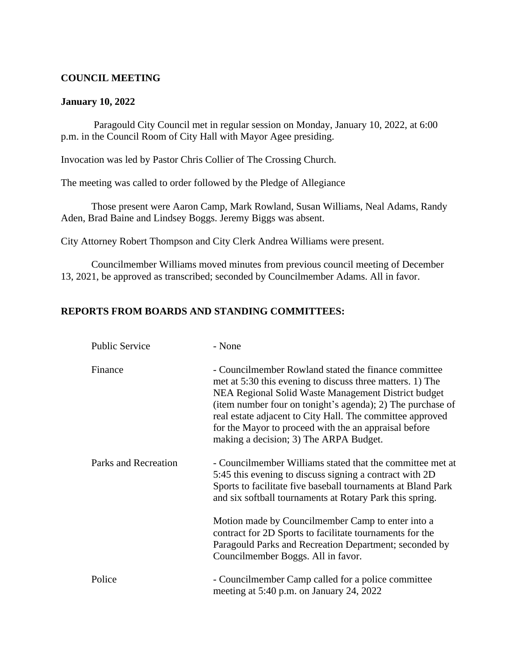#### **COUNCIL MEETING**

#### **January 10, 2022**

 Paragould City Council met in regular session on Monday, January 10, 2022, at 6:00 p.m. in the Council Room of City Hall with Mayor Agee presiding.

Invocation was led by Pastor Chris Collier of The Crossing Church.

The meeting was called to order followed by the Pledge of Allegiance

Those present were Aaron Camp, Mark Rowland, Susan Williams, Neal Adams, Randy Aden, Brad Baine and Lindsey Boggs. Jeremy Biggs was absent.

City Attorney Robert Thompson and City Clerk Andrea Williams were present.

Councilmember Williams moved minutes from previous council meeting of December 13, 2021, be approved as transcribed; seconded by Councilmember Adams. All in favor.

#### **REPORTS FROM BOARDS AND STANDING COMMITTEES:**

| <b>Public Service</b> | - None                                                                                                                                                                                                                                                                                                                                                                                                 |
|-----------------------|--------------------------------------------------------------------------------------------------------------------------------------------------------------------------------------------------------------------------------------------------------------------------------------------------------------------------------------------------------------------------------------------------------|
| Finance               | - Councilmember Rowland stated the finance committee<br>met at 5:30 this evening to discuss three matters. 1) The<br>NEA Regional Solid Waste Management District budget<br>(item number four on tonight's agenda); 2) The purchase of<br>real estate adjacent to City Hall. The committee approved<br>for the Mayor to proceed with the an appraisal before<br>making a decision; 3) The ARPA Budget. |
| Parks and Recreation  | - Councilmember Williams stated that the committee met at<br>5:45 this evening to discuss signing a contract with 2D<br>Sports to facilitate five baseball tournaments at Bland Park<br>and six softball tournaments at Rotary Park this spring.                                                                                                                                                       |
|                       | Motion made by Councilmember Camp to enter into a<br>contract for 2D Sports to facilitate tournaments for the<br>Paragould Parks and Recreation Department; seconded by<br>Councilmember Boggs. All in favor.                                                                                                                                                                                          |
| Police                | - Councilmember Camp called for a police committee<br>meeting at 5:40 p.m. on January 24, 2022                                                                                                                                                                                                                                                                                                         |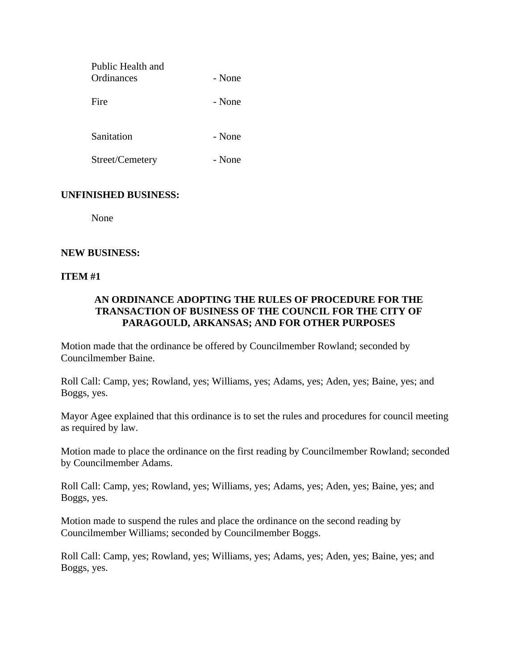| Public Health and<br>Ordinances | - None |
|---------------------------------|--------|
| Fire                            | - None |

Sanitation - None

Street/Cemetery - None

### **UNFINISHED BUSINESS:**

None

#### **NEW BUSINESS:**

#### **ITEM #1**

# **AN ORDINANCE ADOPTING THE RULES OF PROCEDURE FOR THE TRANSACTION OF BUSINESS OF THE COUNCIL FOR THE CITY OF PARAGOULD, ARKANSAS; AND FOR OTHER PURPOSES**

Motion made that the ordinance be offered by Councilmember Rowland; seconded by Councilmember Baine.

Roll Call: Camp, yes; Rowland, yes; Williams, yes; Adams, yes; Aden, yes; Baine, yes; and Boggs, yes.

Mayor Agee explained that this ordinance is to set the rules and procedures for council meeting as required by law.

Motion made to place the ordinance on the first reading by Councilmember Rowland; seconded by Councilmember Adams.

Roll Call: Camp, yes; Rowland, yes; Williams, yes; Adams, yes; Aden, yes; Baine, yes; and Boggs, yes.

Motion made to suspend the rules and place the ordinance on the second reading by Councilmember Williams; seconded by Councilmember Boggs.

Roll Call: Camp, yes; Rowland, yes; Williams, yes; Adams, yes; Aden, yes; Baine, yes; and Boggs, yes.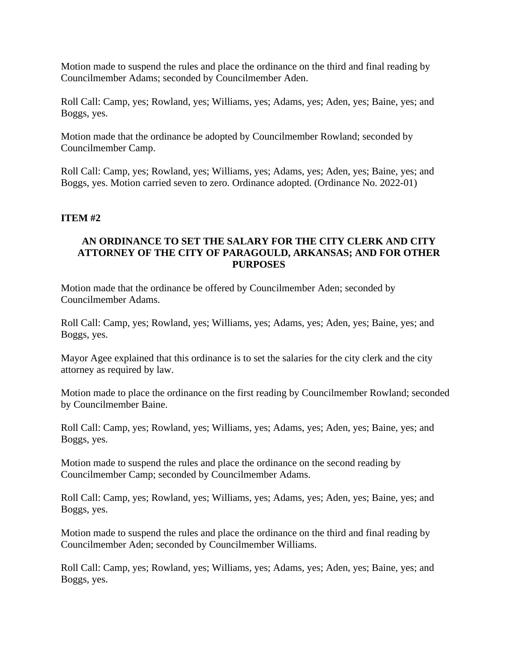Motion made to suspend the rules and place the ordinance on the third and final reading by Councilmember Adams; seconded by Councilmember Aden.

Roll Call: Camp, yes; Rowland, yes; Williams, yes; Adams, yes; Aden, yes; Baine, yes; and Boggs, yes.

Motion made that the ordinance be adopted by Councilmember Rowland; seconded by Councilmember Camp.

Roll Call: Camp, yes; Rowland, yes; Williams, yes; Adams, yes; Aden, yes; Baine, yes; and Boggs, yes. Motion carried seven to zero. Ordinance adopted. (Ordinance No. 2022-01)

#### **ITEM #2**

### **AN ORDINANCE TO SET THE SALARY FOR THE CITY CLERK AND CITY ATTORNEY OF THE CITY OF PARAGOULD, ARKANSAS; AND FOR OTHER PURPOSES**

Motion made that the ordinance be offered by Councilmember Aden; seconded by Councilmember Adams.

Roll Call: Camp, yes; Rowland, yes; Williams, yes; Adams, yes; Aden, yes; Baine, yes; and Boggs, yes.

Mayor Agee explained that this ordinance is to set the salaries for the city clerk and the city attorney as required by law.

Motion made to place the ordinance on the first reading by Councilmember Rowland; seconded by Councilmember Baine.

Roll Call: Camp, yes; Rowland, yes; Williams, yes; Adams, yes; Aden, yes; Baine, yes; and Boggs, yes.

Motion made to suspend the rules and place the ordinance on the second reading by Councilmember Camp; seconded by Councilmember Adams.

Roll Call: Camp, yes; Rowland, yes; Williams, yes; Adams, yes; Aden, yes; Baine, yes; and Boggs, yes.

Motion made to suspend the rules and place the ordinance on the third and final reading by Councilmember Aden; seconded by Councilmember Williams.

Roll Call: Camp, yes; Rowland, yes; Williams, yes; Adams, yes; Aden, yes; Baine, yes; and Boggs, yes.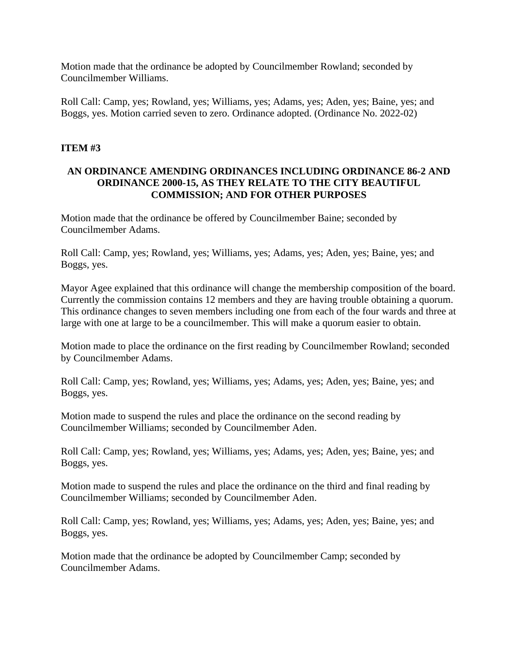Motion made that the ordinance be adopted by Councilmember Rowland; seconded by Councilmember Williams.

Roll Call: Camp, yes; Rowland, yes; Williams, yes; Adams, yes; Aden, yes; Baine, yes; and Boggs, yes. Motion carried seven to zero. Ordinance adopted. (Ordinance No. 2022-02)

## **ITEM #3**

### **AN ORDINANCE AMENDING ORDINANCES INCLUDING ORDINANCE 86-2 AND ORDINANCE 2000-15, AS THEY RELATE TO THE CITY BEAUTIFUL COMMISSION; AND FOR OTHER PURPOSES**

Motion made that the ordinance be offered by Councilmember Baine; seconded by Councilmember Adams.

Roll Call: Camp, yes; Rowland, yes; Williams, yes; Adams, yes; Aden, yes; Baine, yes; and Boggs, yes.

Mayor Agee explained that this ordinance will change the membership composition of the board. Currently the commission contains 12 members and they are having trouble obtaining a quorum. This ordinance changes to seven members including one from each of the four wards and three at large with one at large to be a councilmember. This will make a quorum easier to obtain.

Motion made to place the ordinance on the first reading by Councilmember Rowland; seconded by Councilmember Adams.

Roll Call: Camp, yes; Rowland, yes; Williams, yes; Adams, yes; Aden, yes; Baine, yes; and Boggs, yes.

Motion made to suspend the rules and place the ordinance on the second reading by Councilmember Williams; seconded by Councilmember Aden.

Roll Call: Camp, yes; Rowland, yes; Williams, yes; Adams, yes; Aden, yes; Baine, yes; and Boggs, yes.

Motion made to suspend the rules and place the ordinance on the third and final reading by Councilmember Williams; seconded by Councilmember Aden.

Roll Call: Camp, yes; Rowland, yes; Williams, yes; Adams, yes; Aden, yes; Baine, yes; and Boggs, yes.

Motion made that the ordinance be adopted by Councilmember Camp; seconded by Councilmember Adams.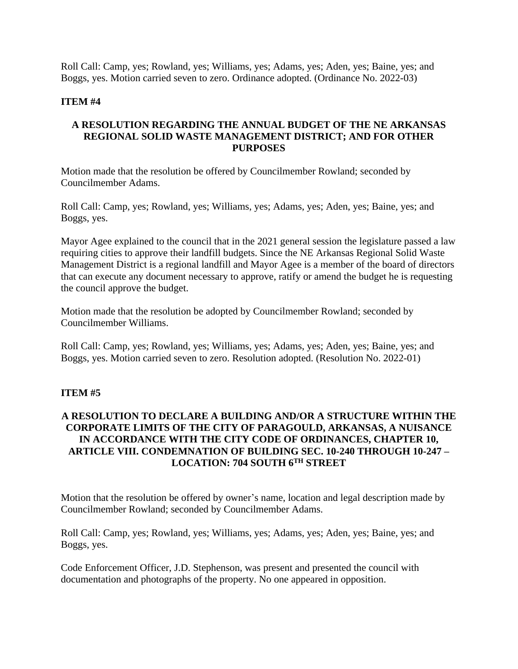Roll Call: Camp, yes; Rowland, yes; Williams, yes; Adams, yes; Aden, yes; Baine, yes; and Boggs, yes. Motion carried seven to zero. Ordinance adopted. (Ordinance No. 2022-03)

### **ITEM #4**

# **A RESOLUTION REGARDING THE ANNUAL BUDGET OF THE NE ARKANSAS REGIONAL SOLID WASTE MANAGEMENT DISTRICT; AND FOR OTHER PURPOSES**

Motion made that the resolution be offered by Councilmember Rowland; seconded by Councilmember Adams.

Roll Call: Camp, yes; Rowland, yes; Williams, yes; Adams, yes; Aden, yes; Baine, yes; and Boggs, yes.

Mayor Agee explained to the council that in the 2021 general session the legislature passed a law requiring cities to approve their landfill budgets. Since the NE Arkansas Regional Solid Waste Management District is a regional landfill and Mayor Agee is a member of the board of directors that can execute any document necessary to approve, ratify or amend the budget he is requesting the council approve the budget.

Motion made that the resolution be adopted by Councilmember Rowland; seconded by Councilmember Williams.

Roll Call: Camp, yes; Rowland, yes; Williams, yes; Adams, yes; Aden, yes; Baine, yes; and Boggs, yes. Motion carried seven to zero. Resolution adopted. (Resolution No. 2022-01)

# **ITEM #5**

# **A RESOLUTION TO DECLARE A BUILDING AND/OR A STRUCTURE WITHIN THE CORPORATE LIMITS OF THE CITY OF PARAGOULD, ARKANSAS, A NUISANCE IN ACCORDANCE WITH THE CITY CODE OF ORDINANCES, CHAPTER 10, ARTICLE VIII. CONDEMNATION OF BUILDING SEC. 10-240 THROUGH 10-247 – LOCATION: 704 SOUTH 6TH STREET**

Motion that the resolution be offered by owner's name, location and legal description made by Councilmember Rowland; seconded by Councilmember Adams.

Roll Call: Camp, yes; Rowland, yes; Williams, yes; Adams, yes; Aden, yes; Baine, yes; and Boggs, yes.

Code Enforcement Officer, J.D. Stephenson, was present and presented the council with documentation and photographs of the property. No one appeared in opposition.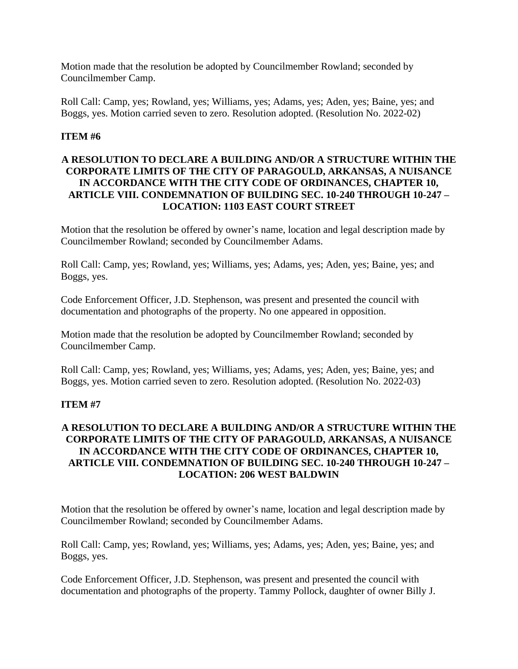Motion made that the resolution be adopted by Councilmember Rowland; seconded by Councilmember Camp.

Roll Call: Camp, yes; Rowland, yes; Williams, yes; Adams, yes; Aden, yes; Baine, yes; and Boggs, yes. Motion carried seven to zero. Resolution adopted. (Resolution No. 2022-02)

# **ITEM #6**

# **A RESOLUTION TO DECLARE A BUILDING AND/OR A STRUCTURE WITHIN THE CORPORATE LIMITS OF THE CITY OF PARAGOULD, ARKANSAS, A NUISANCE IN ACCORDANCE WITH THE CITY CODE OF ORDINANCES, CHAPTER 10, ARTICLE VIII. CONDEMNATION OF BUILDING SEC. 10-240 THROUGH 10-247 – LOCATION: 1103 EAST COURT STREET**

Motion that the resolution be offered by owner's name, location and legal description made by Councilmember Rowland; seconded by Councilmember Adams.

Roll Call: Camp, yes; Rowland, yes; Williams, yes; Adams, yes; Aden, yes; Baine, yes; and Boggs, yes.

Code Enforcement Officer, J.D. Stephenson, was present and presented the council with documentation and photographs of the property. No one appeared in opposition.

Motion made that the resolution be adopted by Councilmember Rowland; seconded by Councilmember Camp.

Roll Call: Camp, yes; Rowland, yes; Williams, yes; Adams, yes; Aden, yes; Baine, yes; and Boggs, yes. Motion carried seven to zero. Resolution adopted. (Resolution No. 2022-03)

#### **ITEM #7**

# **A RESOLUTION TO DECLARE A BUILDING AND/OR A STRUCTURE WITHIN THE CORPORATE LIMITS OF THE CITY OF PARAGOULD, ARKANSAS, A NUISANCE IN ACCORDANCE WITH THE CITY CODE OF ORDINANCES, CHAPTER 10, ARTICLE VIII. CONDEMNATION OF BUILDING SEC. 10-240 THROUGH 10-247 – LOCATION: 206 WEST BALDWIN**

Motion that the resolution be offered by owner's name, location and legal description made by Councilmember Rowland; seconded by Councilmember Adams.

Roll Call: Camp, yes; Rowland, yes; Williams, yes; Adams, yes; Aden, yes; Baine, yes; and Boggs, yes.

Code Enforcement Officer, J.D. Stephenson, was present and presented the council with documentation and photographs of the property. Tammy Pollock, daughter of owner Billy J.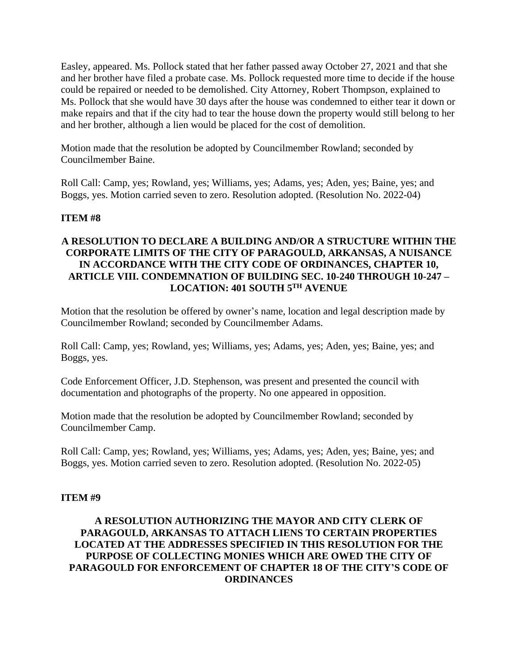Easley, appeared. Ms. Pollock stated that her father passed away October 27, 2021 and that she and her brother have filed a probate case. Ms. Pollock requested more time to decide if the house could be repaired or needed to be demolished. City Attorney, Robert Thompson, explained to Ms. Pollock that she would have 30 days after the house was condemned to either tear it down or make repairs and that if the city had to tear the house down the property would still belong to her and her brother, although a lien would be placed for the cost of demolition.

Motion made that the resolution be adopted by Councilmember Rowland; seconded by Councilmember Baine.

Roll Call: Camp, yes; Rowland, yes; Williams, yes; Adams, yes; Aden, yes; Baine, yes; and Boggs, yes. Motion carried seven to zero. Resolution adopted. (Resolution No. 2022-04)

### **ITEM #8**

# **A RESOLUTION TO DECLARE A BUILDING AND/OR A STRUCTURE WITHIN THE CORPORATE LIMITS OF THE CITY OF PARAGOULD, ARKANSAS, A NUISANCE IN ACCORDANCE WITH THE CITY CODE OF ORDINANCES, CHAPTER 10, ARTICLE VIII. CONDEMNATION OF BUILDING SEC. 10-240 THROUGH 10-247 – LOCATION: 401 SOUTH 5TH AVENUE**

Motion that the resolution be offered by owner's name, location and legal description made by Councilmember Rowland; seconded by Councilmember Adams.

Roll Call: Camp, yes; Rowland, yes; Williams, yes; Adams, yes; Aden, yes; Baine, yes; and Boggs, yes.

Code Enforcement Officer, J.D. Stephenson, was present and presented the council with documentation and photographs of the property. No one appeared in opposition.

Motion made that the resolution be adopted by Councilmember Rowland; seconded by Councilmember Camp.

Roll Call: Camp, yes; Rowland, yes; Williams, yes; Adams, yes; Aden, yes; Baine, yes; and Boggs, yes. Motion carried seven to zero. Resolution adopted. (Resolution No. 2022-05)

#### **ITEM #9**

### **A RESOLUTION AUTHORIZING THE MAYOR AND CITY CLERK OF PARAGOULD, ARKANSAS TO ATTACH LIENS TO CERTAIN PROPERTIES LOCATED AT THE ADDRESSES SPECIFIED IN THIS RESOLUTION FOR THE PURPOSE OF COLLECTING MONIES WHICH ARE OWED THE CITY OF PARAGOULD FOR ENFORCEMENT OF CHAPTER 18 OF THE CITY'S CODE OF ORDINANCES**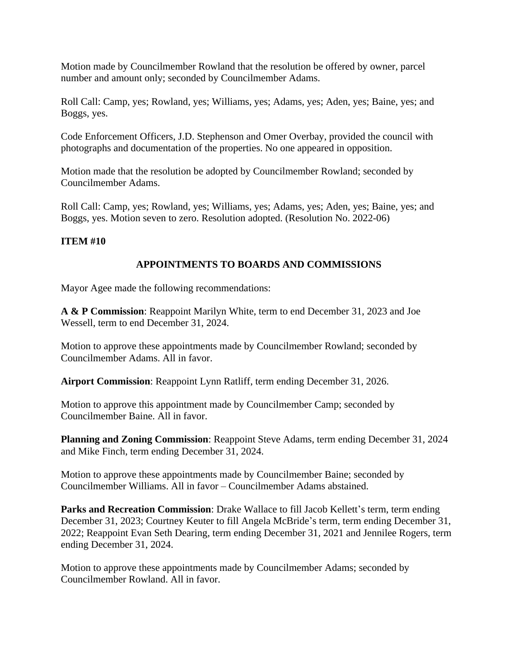Motion made by Councilmember Rowland that the resolution be offered by owner, parcel number and amount only; seconded by Councilmember Adams.

Roll Call: Camp, yes; Rowland, yes; Williams, yes; Adams, yes; Aden, yes; Baine, yes; and Boggs, yes.

Code Enforcement Officers, J.D. Stephenson and Omer Overbay, provided the council with photographs and documentation of the properties. No one appeared in opposition.

Motion made that the resolution be adopted by Councilmember Rowland; seconded by Councilmember Adams.

Roll Call: Camp, yes; Rowland, yes; Williams, yes; Adams, yes; Aden, yes; Baine, yes; and Boggs, yes. Motion seven to zero. Resolution adopted. (Resolution No. 2022-06)

# **ITEM #10**

# **APPOINTMENTS TO BOARDS AND COMMISSIONS**

Mayor Agee made the following recommendations:

**A & P Commission**: Reappoint Marilyn White, term to end December 31, 2023 and Joe Wessell, term to end December 31, 2024.

Motion to approve these appointments made by Councilmember Rowland; seconded by Councilmember Adams. All in favor.

**Airport Commission**: Reappoint Lynn Ratliff, term ending December 31, 2026.

Motion to approve this appointment made by Councilmember Camp; seconded by Councilmember Baine. All in favor.

**Planning and Zoning Commission**: Reappoint Steve Adams, term ending December 31, 2024 and Mike Finch, term ending December 31, 2024.

Motion to approve these appointments made by Councilmember Baine; seconded by Councilmember Williams. All in favor – Councilmember Adams abstained.

**Parks and Recreation Commission**: Drake Wallace to fill Jacob Kellett's term, term ending December 31, 2023; Courtney Keuter to fill Angela McBride's term, term ending December 31, 2022; Reappoint Evan Seth Dearing, term ending December 31, 2021 and Jennilee Rogers, term ending December 31, 2024.

Motion to approve these appointments made by Councilmember Adams; seconded by Councilmember Rowland. All in favor.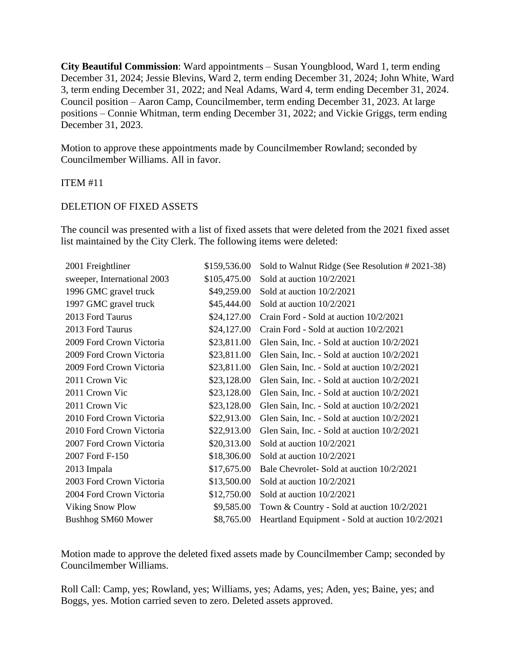**City Beautiful Commission**: Ward appointments – Susan Youngblood, Ward 1, term ending December 31, 2024; Jessie Blevins, Ward 2, term ending December 31, 2024; John White, Ward 3, term ending December 31, 2022; and Neal Adams, Ward 4, term ending December 31, 2024. Council position – Aaron Camp, Councilmember, term ending December 31, 2023. At large positions – Connie Whitman, term ending December 31, 2022; and Vickie Griggs, term ending December 31, 2023.

Motion to approve these appointments made by Councilmember Rowland; seconded by Councilmember Williams. All in favor.

#### ITEM #11

### DELETION OF FIXED ASSETS

The council was presented with a list of fixed assets that were deleted from the 2021 fixed asset list maintained by the City Clerk. The following items were deleted:

| 2001 Freightliner           | \$159,536.00 | Sold to Walnut Ridge (See Resolution #2021-38)  |
|-----------------------------|--------------|-------------------------------------------------|
| sweeper, International 2003 | \$105,475.00 | Sold at auction 10/2/2021                       |
| 1996 GMC gravel truck       | \$49,259.00  | Sold at auction 10/2/2021                       |
| 1997 GMC gravel truck       | \$45,444.00  | Sold at auction 10/2/2021                       |
| 2013 Ford Taurus            | \$24,127.00  | Crain Ford - Sold at auction 10/2/2021          |
| 2013 Ford Taurus            | \$24,127.00  | Crain Ford - Sold at auction 10/2/2021          |
| 2009 Ford Crown Victoria    | \$23,811.00  | Glen Sain, Inc. - Sold at auction 10/2/2021     |
| 2009 Ford Crown Victoria    | \$23,811.00  | Glen Sain, Inc. - Sold at auction 10/2/2021     |
| 2009 Ford Crown Victoria    | \$23,811.00  | Glen Sain, Inc. - Sold at auction 10/2/2021     |
| 2011 Crown Vic              | \$23,128.00  | Glen Sain, Inc. - Sold at auction 10/2/2021     |
| 2011 Crown Vic              | \$23,128.00  | Glen Sain, Inc. - Sold at auction 10/2/2021     |
| 2011 Crown Vic              | \$23,128.00  | Glen Sain, Inc. - Sold at auction 10/2/2021     |
| 2010 Ford Crown Victoria    | \$22,913.00  | Glen Sain, Inc. - Sold at auction 10/2/2021     |
| 2010 Ford Crown Victoria    | \$22,913.00  | Glen Sain, Inc. - Sold at auction 10/2/2021     |
| 2007 Ford Crown Victoria    | \$20,313.00  | Sold at auction 10/2/2021                       |
| 2007 Ford F-150             | \$18,306.00  | Sold at auction 10/2/2021                       |
| 2013 Impala                 | \$17,675.00  | Bale Chevrolet-Sold at auction 10/2/2021        |
| 2003 Ford Crown Victoria    | \$13,500.00  | Sold at auction 10/2/2021                       |
| 2004 Ford Crown Victoria    | \$12,750.00  | Sold at auction 10/2/2021                       |
| <b>Viking Snow Plow</b>     | \$9,585.00   | Town & Country - Sold at auction $10/2/2021$    |
| <b>Bushhog SM60 Mower</b>   | \$8,765.00   | Heartland Equipment - Sold at auction 10/2/2021 |

Motion made to approve the deleted fixed assets made by Councilmember Camp; seconded by Councilmember Williams.

Roll Call: Camp, yes; Rowland, yes; Williams, yes; Adams, yes; Aden, yes; Baine, yes; and Boggs, yes. Motion carried seven to zero. Deleted assets approved.